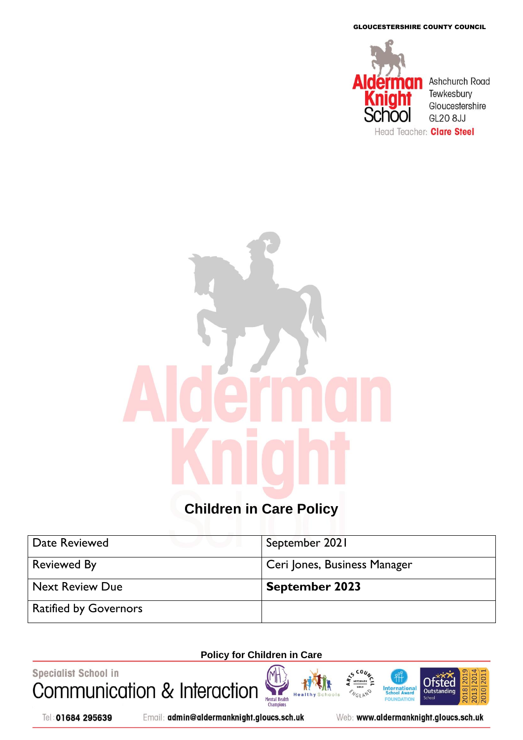GLOUCESTERSHIRE COUNTY COUNCIL



# **Children in Care Policy**

| Date Reviewed                | September 2021               |
|------------------------------|------------------------------|
| <b>Reviewed By</b>           | Ceri Jones, Business Manager |
| <b>Next Review Due</b>       | <b>September 2023</b>        |
| <b>Ratified by Governors</b> |                              |

# **Policy for Children in Care**

Health

Specialist School in Communication & Interaction Mental Health<br>Champions

Tel: 01684 295639

Email: admin@aldermanknight.gloucs.sch.uk

Web: www.aldermanknight.gloucs.sch.uk

**International**<br>School Award

FOU **IDATION**  2018 20

**Ofsted** 

Outstand

**Schoo** 

010 20

2013|20

 $CO<sub>1</sub>$ 

**NGLAND**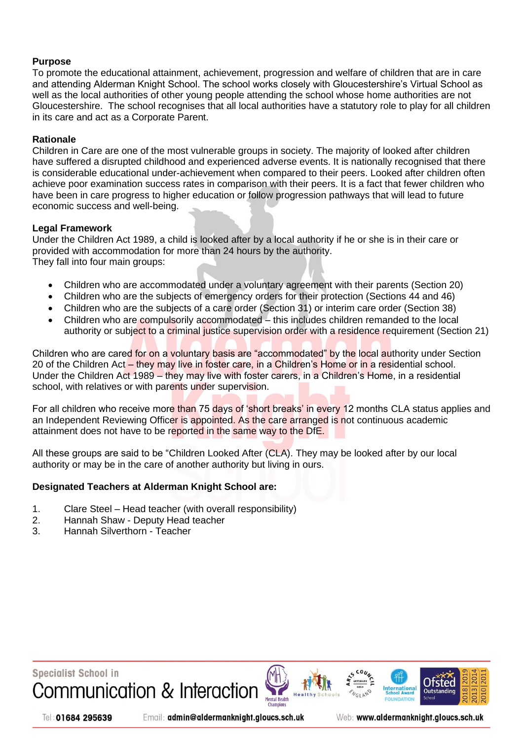# **Purpose**

To promote the educational attainment, achievement, progression and welfare of children that are in care and attending Alderman Knight School. The school works closely with Gloucestershire's Virtual School as well as the local authorities of other young people attending the school whose home authorities are not Gloucestershire. The school recognises that all local authorities have a statutory role to play for all children in its care and act as a Corporate Parent.

#### **Rationale**

Children in Care are one of the most vulnerable groups in society. The majority of looked after children have suffered a disrupted childhood and experienced adverse events. It is nationally recognised that there is considerable educational under-achievement when compared to their peers. Looked after children often achieve poor examination success rates in comparison with their peers. It is a fact that fewer children who have been in care progress to higher education or follow progression pathways that will lead to future economic success and well-being.

#### **Legal Framework**

Under the Children Act 1989, a child is looked after by a local authority if he or she is in their care or provided with accommodation for more than 24 hours by the authority. They fall into four main groups:

- Children who are accommodated under a voluntary agreement with their parents (Section 20)
- Children who are the subjects of emergency orders for their protection (Sections 44 and 46)
- Children who are the subjects of a care order (Section 31) or interim care order (Section 38)
- Children who are compulsorily accommodated this includes children remanded to the local authority or subject to a criminal justice supervision order with a residence requirement (Section 21)

Children who are cared for on a voluntary basis are "accommodated" by the local authority under Section 20 of the Children Act – they may live in foster care, in a Children's Home or in a residential school. Under the Children Act 1989 – they may live with foster carers, in a Children's Home, in a residential school, with relatives or with parents under supervision.

For all children who receive more than 75 days of 'short breaks' in every 12 months CLA status applies and an Independent Reviewing Officer is appointed. As the care arranged is not continuous academic attainment does not have to be reported in the same way to the DfE.

All these groups are said to be "Children Looked After (CLA). They may be looked after by our local authority or may be in the care of another authority but living in ours.

#### **Designated Teachers at Alderman Knight School are:**

- 1. Clare Steel Head teacher (with overall responsibility)
- 2. Hannah Shaw Deputy Head teacher
- 3. Hannah Silverthorn Teacher



Tel: 01684 295639

Email: admin@aldermanknight.gloucs.sch.uk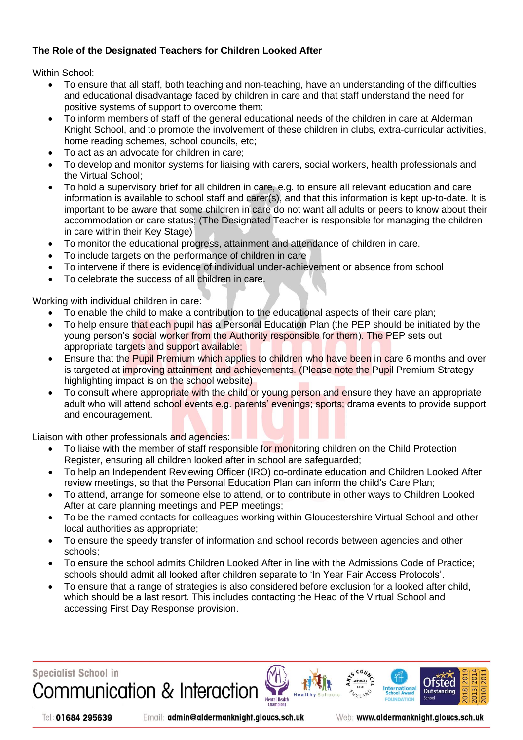# **The Role of the Designated Teachers for Children Looked After**

Within School:

- To ensure that all staff, both teaching and non-teaching, have an understanding of the difficulties and educational disadvantage faced by children in care and that staff understand the need for positive systems of support to overcome them;
- To inform members of staff of the general educational needs of the children in care at Alderman Knight School, and to promote the involvement of these children in clubs, extra-curricular activities, home reading schemes, school councils, etc;
- To act as an advocate for children in care;
- To develop and monitor systems for liaising with carers, social workers, health professionals and the Virtual School;
- To hold a supervisory brief for all children in care, e.g. to ensure all relevant education and care information is available to school staff and carer(s), and that this information is kept up-to-date. It is important to be aware that some children in care do not want all adults or peers to know about their accommodation or care status; (The Designated Teacher is responsible for managing the children in care within their Key Stage)
- To monitor the educational progress, attainment and attendance of children in care.
- To include targets on the performance of children in care
- To intervene if there is evidence of individual under-achievement or absence from school
- To celebrate the success of all children in care.

Working with individual children in care:

- To enable the child to make a contribution to the educational aspects of their care plan;
- To help ensure that each pupil has a Personal Education Plan (the PEP should be initiated by the young person's social worker from the Authority responsible for them). The PEP sets out appropriate targets and support available;
- Ensure that the Pupil Premium which applies to children who have been in care 6 months and over is targeted at improving attainment and achievements. (Please note the Pupil Premium Strategy highlighting impact is on the school website)
- To consult where appropriate with the child or young person and ensure they have an appropriate adult who will attend school events e.g. parents' evenings; sports; drama events to provide support and encouragement.

Liaison with other professionals and agencies:

- To liaise with the member of staff responsible for monitoring children on the Child Protection Register, ensuring all children looked after in school are safeguarded;
- To help an Independent Reviewing Officer (IRO) co-ordinate education and Children Looked After review meetings, so that the Personal Education Plan can inform the child's Care Plan;
- To attend, arrange for someone else to attend, or to contribute in other ways to Children Looked After at care planning meetings and PEP meetings;
- To be the named contacts for colleagues working within Gloucestershire Virtual School and other local authorities as appropriate;
- To ensure the speedy transfer of information and school records between agencies and other schools;
- To ensure the school admits Children Looked After in line with the Admissions Code of Practice; schools should admit all looked after children separate to 'In Year Fair Access Protocols'.
- To ensure that a range of strategies is also considered before exclusion for a looked after child, which should be a last resort. This includes contacting the Head of the Virtual School and accessing First Day Response provision.

Mental Health

**Specialist School in** Communication & Interaction

Tel: 01684 295639

Email: admin@aldermanknight.gloucs.sch.uk

Web: www.aldermanknight.gloucs.sch.uk

International

Otsted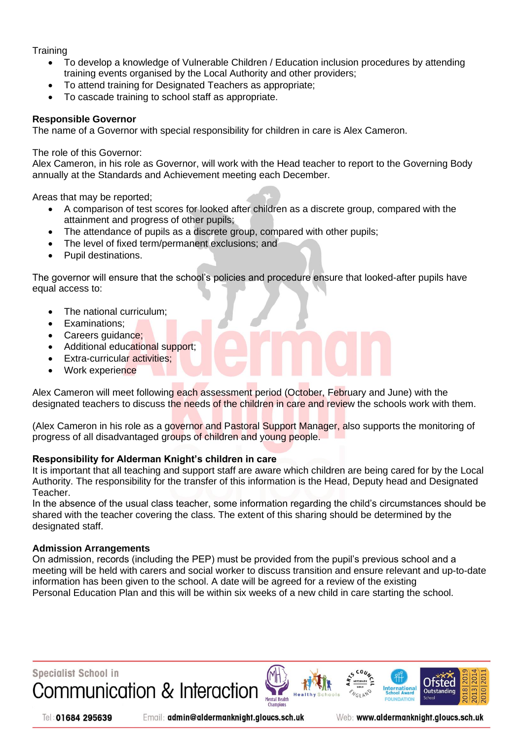**Training** 

- To develop a knowledge of Vulnerable Children / Education inclusion procedures by attending training events organised by the Local Authority and other providers;
- To attend training for Designated Teachers as appropriate;
- To cascade training to school staff as appropriate.

#### **Responsible Governor**

The name of a Governor with special responsibility for children in care is Alex Cameron.

#### The role of this Governor:

Alex Cameron, in his role as Governor, will work with the Head teacher to report to the Governing Body annually at the Standards and Achievement meeting each December.

Areas that may be reported;

- A comparison of test scores for looked after children as a discrete group, compared with the attainment and progress of other pupils;
- The attendance of pupils as a discrete group, compared with other pupils;
- The level of fixed term/permanent exclusions; and
- Pupil destinations.

The governor will ensure that the school's policies and procedure ensure that looked-after pupils have equal access to:

- The national curriculum;
- Examinations;
- Careers guidance;
- Additional educational support;
- Extra-curricular activities;
- Work experience

Alex Cameron will meet following each assessment period (October, February and June) with the designated teachers to discuss the needs of the children in care and review the schools work with them.

(Alex Cameron in his role as a governor and Pastoral Support Manager, also supports the monitoring of progress of all disadvantaged groups of children and young people.

#### **Responsibility for Alderman Knight's children in care**

It is important that all teaching and support staff are aware which children are being cared for by the Local Authority. The responsibility for the transfer of this information is the Head, Deputy head and Designated Teacher.

In the absence of the usual class teacher, some information regarding the child's circumstances should be shared with the teacher covering the class. The extent of this sharing should be determined by the designated staff.

#### **Admission Arrangements**

On admission, records (including the PEP) must be provided from the pupil's previous school and a meeting will be held with carers and social worker to discuss transition and ensure relevant and up-to-date information has been given to the school. A date will be agreed for a review of the existing Personal Education Plan and this will be within six weeks of a new child in care starting the school.



Tel: 01684 295639

Email: admin@aldermanknight.gloucs.sch.uk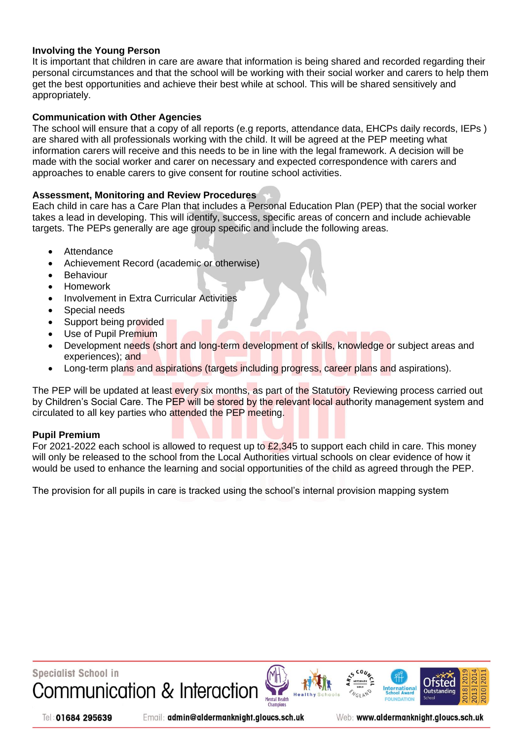## **Involving the Young Person**

It is important that children in care are aware that information is being shared and recorded regarding their personal circumstances and that the school will be working with their social worker and carers to help them get the best opportunities and achieve their best while at school. This will be shared sensitively and appropriately.

## **Communication with Other Agencies**

The school will ensure that a copy of all reports (e.g reports, attendance data, EHCPs daily records, IEPs ) are shared with all professionals working with the child. It will be agreed at the PEP meeting what information carers will receive and this needs to be in line with the legal framework. A decision will be made with the social worker and carer on necessary and expected correspondence with carers and approaches to enable carers to give consent for routine school activities.

## **Assessment, Monitoring and Review Procedures**

Each child in care has a Care Plan that includes a Personal Education Plan (PEP) that the social worker takes a lead in developing. This will identify, success, specific areas of concern and include achievable targets. The PEPs generally are age group specific and include the following areas.

- **Attendance**
- Achievement Record (academic or otherwise)
- **Behaviour**
- Homework
- Involvement in Extra Curricular Activities
- Special needs
- Support being provided
- Use of Pupil Premium
- Development needs (short and long-term development of skills, knowledge or subject areas and experiences); and
- Long-term plans and aspirations (targets including progress, career plans and aspirations).

The PEP will be updated at least every six months, as part of the Statutory Reviewing process carried out by Children's Social Care. The PEP will be stored by the relevant local authority management system and circulated to all key parties who attended the PEP meeting.

#### **Pupil Premium**

For 2021-2022 each school is allowed to request up to  $\mathcal{L}2,345$  to support each child in care. This money will only be released to the school from the Local Authorities virtual schools on clear evidence of how it would be used to enhance the learning and social opportunities of the child as agreed through the PEP.

The provision for all pupils in care is tracked using the school's internal provision mapping system



Tel: 01684 295639

Email: admin@aldermanknight.gloucs.sch.uk